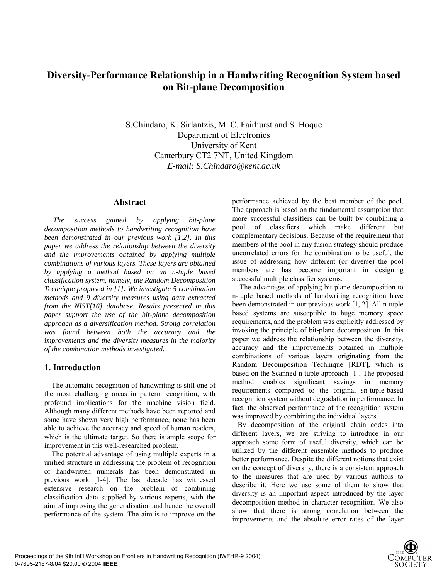# **Diversity-Performance Relationship in a Handwriting Recognition System based on Bit-plane Decomposition**

S.Chindaro, K. Sirlantzis, M. C. Fairhurst and S. Hoque Department of Electronics University of Kent Canterbury CT2 7NT, United Kingdom *E-mail: S.Chindaro@kent.ac.uk*

### **Abstract**

*The success gained by applying bit-plane decomposition methods to handwriting recognition have been demonstrated in our previous work [1,2]. In this paper we address the relationship between the diversity and the improvements obtained by applying multiple combinations of various layers. These layers are obtained by applying a method based on an n-tuple based classification system, namely, the Random Decomposition Technique proposed in [1]. We investigate 5 combination methods and 9 diversity measures using data extracted from the NIST[16] database. Results presented in this paper support the use of the bit-plane decomposition approach as a diversification method. Strong correlation was found between both the accuracy and the improvements and the diversity measures in the majority of the combination methods investigated.* 

# **1. Introduction**

 The automatic recognition of handwriting is still one of the most challenging areas in pattern recognition, with profound implications for the machine vision field. Although many different methods have been reported and some have shown very high performance, none has been able to achieve the accuracy and speed of human readers, which is the ultimate target. So there is ample scope for improvement in this well-researched problem.

 The potential advantage of using multiple experts in a unified structure in addressing the problem of recognition of handwritten numerals has been demonstrated in previous work [1-4]. The last decade has witnessed extensive research on the problem of combining classification data supplied by various experts, with the aim of improving the generalisation and hence the overall performance of the system. The aim is to improve on the

performance achieved by the best member of the pool. The approach is based on the fundamental assumption that more successful classifiers can be built by combining a pool of classifiers which make different but complementary decisions. Because of the requirement that members of the pool in any fusion strategy should produce uncorrelated errors for the combination to be useful, the issue of addressing how different (or diverse) the pool members are has become important in designing successful multiple classifier systems.

 The advantages of applying bit-plane decomposition to n-tuple based methods of handwriting recognition have been demonstrated in our previous work [1, 2]. All n-tuple based systems are susceptible to huge memory space requirements, and the problem was explicitly addressed by invoking the principle of bit-plane decomposition. In this paper we address the relationship between the diversity, accuracy and the improvements obtained in multiple combinations of various layers originating from the Random Decomposition Technique [RDT], which is based on the Scanned n-tuple approach [1]. The proposed method enables significant savings in memory requirements compared to the original sn-tuple-based recognition system without degradation in performance. In fact, the observed performance of the recognition system was improved by combining the individual layers.

 By decomposition of the original chain codes into different layers, we are striving to introduce in our approach some form of useful diversity, which can be utilized by the different ensemble methods to produce better performance. Despite the different notions that exist on the concept of diversity, there is a consistent approach to the measures that are used by various authors to describe it. Here we use some of them to show that diversity is an important aspect introduced by the layer decomposition method in character recognition. We also show that there is strong correlation between the improvements and the absolute error rates of the layer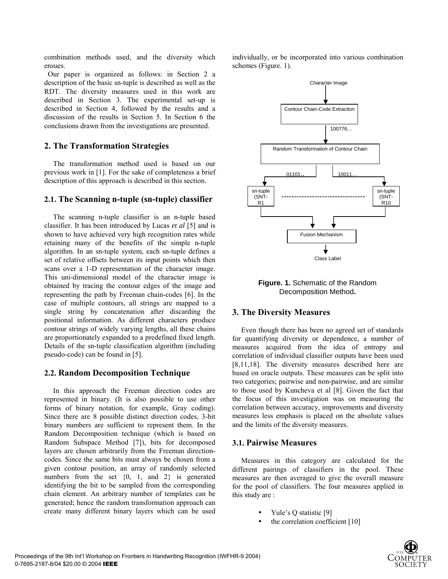combination methods used, and the diversity which ensues.

 Our paper is organized as follows: in Section 2 a description of the basic sn-tuple is described as well as the RDT. The diversity measures used in this work are described in Section 3. The experimental set-up is described in Section 4, followed by the results and a discussion of the results in Section 5. In Section 6 the conclusions drawn from the investigations are presented.

# **2. The Transformation Strategies**

The transformation method used is based on our previous work in [1]. For the sake of completeness a brief description of this approach is described in this section.

# **2.1. The Scanning n-tuple (sn-tuple) classifier**

The scanning n-tuple classifier is an n-tuple based classifier. It has been introduced by Lucas *et al* [5] and is shown to have achieved very high recognition rates while retaining many of the benefits of the simple n-tuple algorithm. In an sn-tuple system, each sn-tuple defines a set of relative offsets between its input points which then scans over a 1-D representation of the character image. This uni-dimensional model of the character image is obtained by tracing the contour edges of the image and representing the path by Freeman chain-codes [6]. In the case of multiple contours, all strings are mapped to a single string by concatenation after discarding the positional information. As different characters produce contour strings of widely varying lengths, all these chains are proportionately expanded to a predefined fixed length. Details of the sn-tuple classification algorithm (including pseudo-code) can be found in [5].

# **2.2. Random Decomposition Technique**

In this approach the Freeman direction codes are represented in binary. (It is also possible to use other forms of binary notation, for example, Gray coding). Since there are 8 possible distinct direction codes, 3-bit binary numbers are sufficient to represent them. In the Random Decomposition technique (which is based on Random Subspace Method [7]), bits for decomposed layers are chosen arbitrarily from the Freeman directioncodes. Since the same bits must always be chosen from a given contour position, an array of randomly selected numbers from the set  $\{0, 1, \text{ and } 2\}$  is generated identifying the bit to be sampled from the corresponding chain element. An arbitrary number of templates can be generated; hence the random transformation approach can create many different binary layers which can be used

individually, or be incorporated into various combination schemes (Figure. 1).



**Figure. 1.** Schematic of the Random Decomposition Method**.** 

# **3. The Diversity Measures**

Even though there has been no agreed set of standards for quantifying diversity or dependence, a number of measures acquired from the idea of entropy and correlation of individual classifier outputs have been used [8,11,18]. The diversity measures described here are based on oracle outputs. These measures can be split into two categories; pairwise and non-pairwise, and are similar to those used by Kuncheva et al [8]. Given the fact that the focus of this investigation was on measuring the correlation between accuracy, improvements and diversity measures less emphasis is placed on the absolute values and the limits of the diversity measures.

# **3.1. Pairwise Measures**

Measures in this category are calculated for the different pairings of classifiers in the pool. These measures are then averaged to give the overall measure for the pool of classifiers. The four measures applied in this study are :

- Yule's Q statistic  $[9]$
- the correlation coefficient [10]

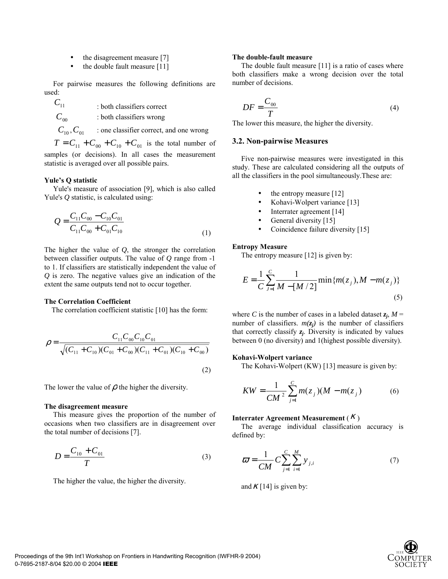- the disagreement measure [7]
- the double fault measure [11]

For pairwise measures the following definitions are used:

 $C_{11}$  : both classifiers correct

 $C_{00}$  : both classifiers wrong

 $C_{10}$ ,  $C_{01}$  : one classifier correct, and one wrong

 $T = C_{11} + C_{00} + C_{10} + C_{01}$  is the total number of samples (or decisions). In all cases the measurement statistic is averaged over all possible pairs.

### Yule's Q statistic

Yule's measure of association [9], which is also called Yule's *Q* statistic, is calculated using:

$$
Q = \frac{C_{11}C_{00} - C_{10}C_{01}}{C_{11}C_{00} + C_{01}C_{10}}
$$
\n(1)

The higher the value of *Q*, the stronger the correlation between classifier outputs. The value of *Q* range from -1 to 1. If classifiers are statistically independent the value of *Q* is zero. The negative values give an indication of the extent the same outputs tend not to occur together.

### **The Correlation Coefficient**

The correlation coefficient statistic [10] has the form:

$$
\rho = \frac{C_{11}C_{00}C_{10}C_{01}}{\sqrt{(C_{11}+C_{10})(C_{01}+C_{00})(C_{11}+C_{01})(C_{10}+C_{00})}}
$$
\n(2)

The lower the value of  $\rho$  the higher the diversity.

#### **The disagreement measure**

This measure gives the proportion of the number of occasions when two classifiers are in disagreement over the total number of decisions [7].

$$
D = \frac{C_{10} + C_{01}}{T}
$$
 (3)

The higher the value, the higher the diversity.

#### **The double-fault measure**

The double fault measure [11] is a ratio of cases where both classifiers make a wrong decision over the total number of decisions.

$$
DF = \frac{C_{00}}{T} \tag{4}
$$

The lower this measure, the higher the diversity.

### **3.2. Non-pairwise Measures**

Five non-pairwise measures were investigated in this study. These are calculated considering all the outputs of all the classifiers in the pool simultaneously.These are:

- the entropy measure [12]
- Kohavi-Wolpert variance [13]
- Interrater agreement [14]
- General diversity [15]
- Coincidence failure diversity [15]

#### **Entropy Measure**

The entropy measure [12] is given by:

$$
E = \frac{1}{C} \sum_{j=1}^{C} \frac{1}{M - [M/2]} \min \{m(z_j), M - m(z_j)\}
$$
\n(5)

where *C* is the number of cases in a labeled dataset  $z_j$ ,  $M =$ number of classifiers.  $m(z_i)$  is the number of classifiers that correctly classify  $z_i$ . Diversity is indicated by values between 0 (no diversity) and 1(highest possible diversity).

### **Kohavi-Wolpert variance**

The Kohavi-Wolpert (KW) [13] measure is given by:

$$
KW = \frac{1}{CM^2} \sum_{j=1}^{C} m(z_j)(M - m(z_j))
$$
 (6)

### **Interrater Agreement Measurement** (<sup>κ</sup> )

The average individual classification accuracy is defined by:

$$
\varpi = \frac{1}{CM} C \sum_{j=1}^{C} \sum_{i=1}^{M} y_{j,i}
$$
 (7)

and  $\kappa$  [14] is given by:

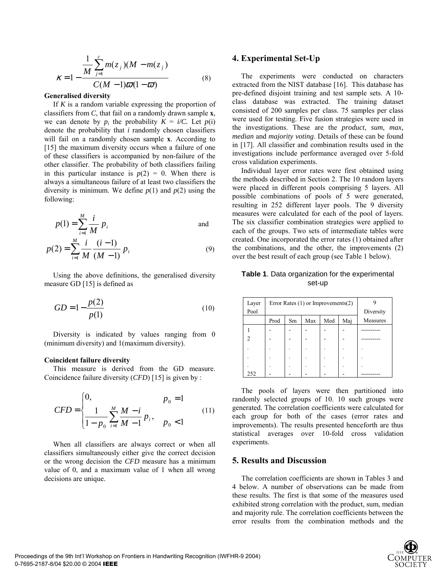$$
\kappa = 1 - \frac{\frac{1}{M} \sum_{j=1}^{c} m(z_j)(M - m(z_j))}{C(M - 1)\overline{\omega}(1 - \overline{\omega})}
$$
(8)

#### **Generalised diversity**

If *K* is a random variable expressing the proportion of classifiers from *C*, that fail on a randomly drawn sample **x**, we can denote by  $p_i$  the probability  $K = i/C$ . Let  $p(i)$ denote the probability that *i* randomly chosen classifiers will fail on a randomly chosen sample **x**. According to [15] the maximum diversity occurs when a failure of one of these classifiers is accompanied by non-failure of the other classifier. The probability of both classifiers failing in this particular instance is  $p(2) = 0$ . When there is always a simultaneous failure of at least two classifiers the diversity is minimum. We define  $p(1)$  and  $p(2)$  using the following:

$$
p(1) = \sum_{i=1}^{M} \frac{i}{M} p_i
$$
 and  

$$
p(2) = \sum_{i=1}^{M} \frac{i}{M} \frac{(i-1)}{(M-1)} p_i
$$
 (9)

Using the above definitions, the generalised diversity measure GD [15] is defined as

$$
GD = 1 - \frac{p(2)}{p(1)}
$$
 (10)

Diversity is indicated by values ranging from 0 (minimum diversity) and 1(maximum diversity).

#### **Coincident failure diversity**

This measure is derived from the GD measure. Coincidence failure diversity (*CFD*) [15] is given by :

$$
CFD = \begin{cases} 0, & p_0 = 1\\ \frac{1}{1 - p_0} \sum_{i=1}^{M} \frac{M - i}{M - 1} p_i, & p_0 < 1 \end{cases} \tag{11}
$$

When all classifiers are always correct or when all classifiers simultaneously either give the correct decision or the wrong decision the *CFD* measure has a minimum value of 0, and a maximum value of 1 when all wrong decisions are unique.

### **4. Experimental Set-Up**

The experiments were conducted on characters extracted from the NIST database [16]. This database has pre-defined disjoint training and test sample sets. A 10 class database was extracted. The training dataset consisted of 200 samples per class. 75 samples per class were used for testing. Five fusion strategies were used in the investigations. These are the *product*, *sum, max, median* and *majority voting*. Details of these can be found in [17]. All classifier and combination results used in the investigations include performance averaged over 5-fold cross validation experiments.

Individual layer error rates were first obtained using the methods described in Section 2. The 10 random layers were placed in different pools comprising 5 layers. All possible combinations of pools of 5 were generated, resulting in 252 different layer pools. The 9 diversity measures were calculated for each of the pool of layers. The six classifier combination strategies were applied to each of the groups. Two sets of intermediate tables were created. One incorporated the error rates (1) obtained after the combinations, and the other, the improvements (2) over the best result of each group (see Table 1 below).

### **Table 1**. Data organization for the experimental set-up

| Layer<br>Pool | Error Rates $(1)$ or Improvements $(2)$ |    |     |     |     | Diversity |
|---------------|-----------------------------------------|----|-----|-----|-----|-----------|
|               | Prod                                    | Sm | Max | Med | Mai | Measures  |
|               |                                         |    |     |     |     |           |
|               |                                         |    |     |     |     |           |
|               |                                         |    |     |     |     |           |
|               |                                         |    |     |     |     |           |
|               |                                         |    |     |     |     |           |
| 252           |                                         |    |     |     |     |           |

The pools of layers were then partitioned into randomly selected groups of 10. 10 such groups were generated. The correlation coefficients were calculated for each group for both of the cases (error rates and improvements). The results presented henceforth are thus statistical averages over 10-fold cross validation experiments.

## **5. Results and Discussion**

 The correlation coefficients are shown in Tables 3 and 4 below. A number of observations can be made from these results. The first is that some of the measures used exhibited strong correlation with the product, sum, median and majority rule. The correlation coefficients between the error results from the combination methods and the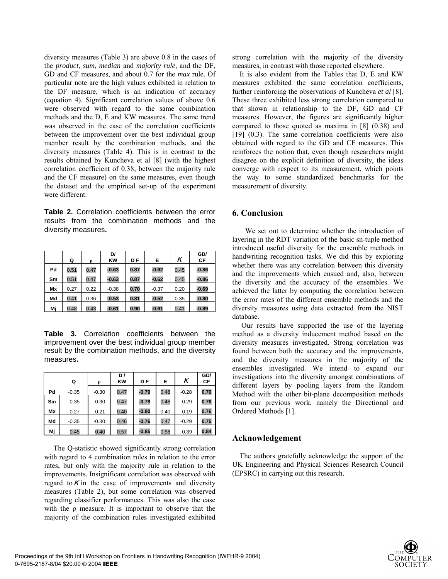diversity measures (Table 3) are above 0.8 in the cases of the *product*, *sum*, *median* and *majority rule*, and the DF, GD and CF measures, and about 0.7 for the *max* rule. Of particular note are the high values exhibited in relation to the DF measure, which is an indication of accuracy (equation 4). Significant correlation values of above 0.6 were observed with regard to the same combination methods and the D, E and KW measures. The same trend was observed in the case of the correlation coefficients between the improvement over the best individual group member result by the combination methods, and the diversity measures (Table 4). This is in contrast to the results obtained by Kuncheva et al [8] (with the highest correlation coefficient of 0.38, between the majority rule and the CF measure) on the same measures, even though the dataset and the empirical set-up of the experiment were different.

**Table 2.** Correlation coefficients between the error results from the combination methods and the diversity measures**.** 

|    | Q    | Ω    | DI<br><b>KW</b> | DF   | Е       | K    | GD/<br>CF |
|----|------|------|-----------------|------|---------|------|-----------|
| Pd | 0.51 | 0.47 | $-0.63$         | 0.87 | $-0.62$ | 0.45 | $-0.86$   |
| Sm | 0.51 | 0.47 | $-0.63$         | 0.87 | $-0.62$ | 0.45 | $-0.86$   |
| Mx | 0.27 | 0.22 | $-0.38$         | 0.70 | $-0.37$ | 0.20 | $-0.69$   |
| Md | 0.41 | 0.36 | $-0.53$         | 0.81 | $-0.52$ | 0.35 | $-0.80$   |
| Mi | 0.48 | 0.43 | $-0.61$         | 0.90 | $-0.61$ | 0.41 | $-0.89$   |

**Table 3.** Correlation coefficients between the improvement over the best individual group member result by the combination methods, and the diversity measures**.** 

|    | Q       | Q       | D/<br><b>KW</b> | DF      | E    | K       | GD/<br>СF |
|----|---------|---------|-----------------|---------|------|---------|-----------|
| Pd | $-0.35$ | $-0.30$ | 0.47            | $-0.79$ | 0.48 | $-0.28$ | 0.76      |
| Sm | $-0.35$ | $-0.30$ | 0.47            | $-0.79$ | 0.48 | $-0.29$ | 0.76      |
| Mx | $-0.27$ | $-0.21$ | 0.40            | $-0.80$ | 0.40 | $-0.19$ | 0.76      |
| Md | $-0.35$ | $-0.30$ | 0.46            | $-0.76$ | 0.47 | $-0.29$ | 0.75      |
| Мj | $-0.45$ | $-0.40$ | 0.57            | $-0.85$ | 0.58 | $-0.39$ | 0.84      |

 The Q-statistic showed significantly strong correlation with regard to 4 combination rules in relation to the error rates, but only with the majority rule in relation to the improvements. Insignificant correlation was observed with regard to  $K$  in the case of improvements and diversity measures (Table 2), but some correlation was observed regarding classifier performances. This was also the case with the  $\rho$  measure. It is important to observe that the majority of the combination rules investigated exhibited strong correlation with the majority of the diversity measures, in contrast with those reported elsewhere.

 It is also evident from the Tables that D, E and KW measures exhibited the same correlation coefficients, further reinforcing the observations of Kuncheva *et al* [8]. These three exhibited less strong correlation compared to that shown in relationship to the DF, GD and CF measures. However, the figures are significantly higher compared to those quoted as maxima in [8] (0.38) and [19] (0.3). The same correlation coefficients were also obtained with regard to the GD and CF measures. This reinforces the notion that, even though researchers might disagree on the explicit definition of diversity, the ideas converge with respect to its measurement, which points the way to some standardized benchmarks for the measurement of diversity.

# **6. Conclusion**

 We set out to determine whether the introduction of layering in the RDT variation of the basic sn-tuple method introduced useful diversity for the ensemble methods in handwriting recognition tasks. We did this by exploring whether there was any correlation between this diversity and the improvements which ensued and, also, between the diversity and the accuracy of the ensembles. We achieved the latter by computing the correlation between the error rates of the different ensemble methods and the diversity measures using data extracted from the NIST database.

 Our results have supported the use of the layering method as a diversity inducement method based on the diversity measures investigated. Strong correlation was found between both the accuracy and the improvements, and the diversity measures in the majority of the ensembles investigated. We intend to expand our investigations into the diversity amongst combinations of different layers by pooling layers from the Random Method with the other bit-plane decomposition methods from our previous work, namely the Directional and Ordered Methods [1].

### **Acknowledgement**

 The authors gratefully acknowledge the support of the UK Engineering and Physical Sciences Research Council (EPSRC) in carrying out this research.